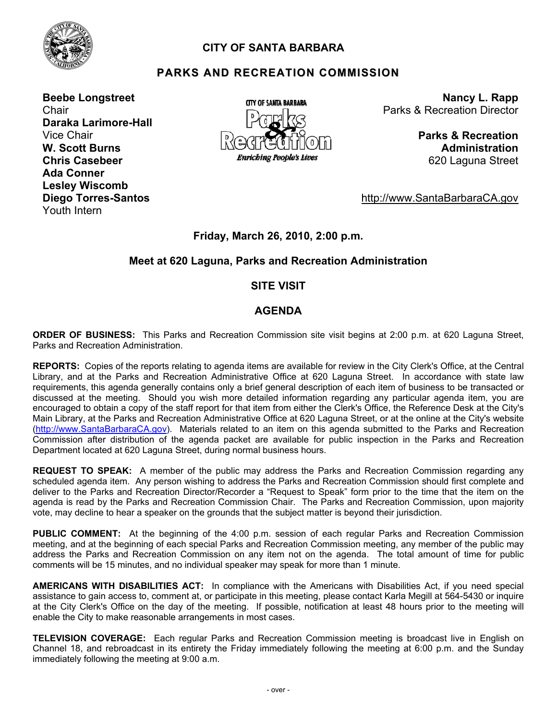

# **CITY OF SANTA BARBARA**

# **PARKS AND RECREATION COMMISSION**

**Beebe Longstreet Chair Daraka Larimore-Hall**  Vice Chair **W. Scott Burns Chris Casebeer Ada Conner Lesley Wiscomb Diego Torres-Santos**  Youth Intern



**Nancy L. Rapp** Parks & Recreation Director

> **Parks & Recreation Administration** 620 Laguna Street

http://www.SantaBarbaraCA.gov

#### **Friday, March 26, 2010, 2:00 p.m.**

#### **Meet at 620 Laguna, Parks and Recreation Administration**

#### **SITE VISIT**

#### **AGENDA**

**ORDER OF BUSINESS:** This Parks and Recreation Commission site visit begins at 2:00 p.m. at 620 Laguna Street, Parks and Recreation Administration.

**REPORTS:** Copies of the reports relating to agenda items are available for review in the City Clerk's Office, at the Central Library, and at the Parks and Recreation Administrative Office at 620 Laguna Street. In accordance with state law requirements, this agenda generally contains only a brief general description of each item of business to be transacted or discussed at the meeting. Should you wish more detailed information regarding any particular agenda item, you are encouraged to obtain a copy of the staff report for that item from either the Clerk's Office, the Reference Desk at the City's Main Library, at the Parks and Recreation Administrative Office at 620 Laguna Street, or at the online at the City's website [\(http://www.SantaBarbaraCA.gov](http://www.santabarbaraca.gov/)). Materials related to an item on this agenda submitted to the Parks and Recreation Commission after distribution of the agenda packet are available for public inspection in the Parks and Recreation Department located at 620 Laguna Street, during normal business hours.

**REQUEST TO SPEAK:** A member of the public may address the Parks and Recreation Commission regarding any scheduled agenda item. Any person wishing to address the Parks and Recreation Commission should first complete and deliver to the Parks and Recreation Director/Recorder a "Request to Speak" form prior to the time that the item on the agenda is read by the Parks and Recreation Commission Chair. The Parks and Recreation Commission, upon majority vote, may decline to hear a speaker on the grounds that the subject matter is beyond their jurisdiction.

**PUBLIC COMMENT:** At the beginning of the 4:00 p.m. session of each regular Parks and Recreation Commission meeting, and at the beginning of each special Parks and Recreation Commission meeting, any member of the public may address the Parks and Recreation Commission on any item not on the agenda. The total amount of time for public comments will be 15 minutes, and no individual speaker may speak for more than 1 minute.

**AMERICANS WITH DISABILITIES ACT:** In compliance with the Americans with Disabilities Act, if you need special assistance to gain access to, comment at, or participate in this meeting, please contact Karla Megill at 564-5430 or inquire at the City Clerk's Office on the day of the meeting. If possible, notification at least 48 hours prior to the meeting will enable the City to make reasonable arrangements in most cases.

**TELEVISION COVERAGE:** Each regular Parks and Recreation Commission meeting is broadcast live in English on Channel 18, and rebroadcast in its entirety the Friday immediately following the meeting at 6:00 p.m. and the Sunday immediately following the meeting at 9:00 a.m.